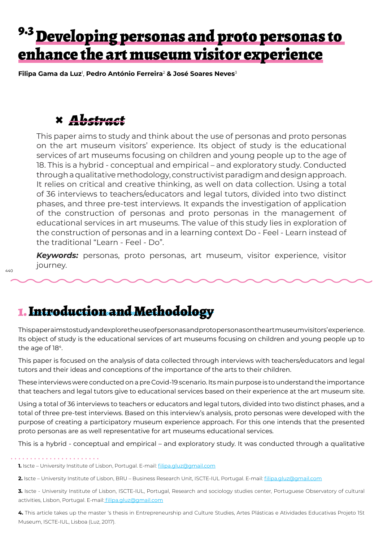## 9.3 Developing personas and proto personas to enhance the art museum visitor experience

**Filipa Gama da Luz**<sup>1</sup> , **Pedro António Ferreira**<sup>2</sup> **& José Soares Neves**<sup>3</sup>

## **×** *Abstract*

This paper aims to study and think about the use of personas and proto personas on the art museum visitors' experience. Its object of study is the educational services of art museums focusing on children and young people up to the age of 18. This is a hybrid - conceptual and empirical – and exploratory study. Conducted through a qualitative methodology, constructivist paradigm and design approach. It relies on critical and creative thinking, as well on data collection. Using a total of 36 interviews to teachers/educators and legal tutors, divided into two distinct phases, and three pre-test interviews. It expands the investigation of application of the construction of personas and proto personas in the management of educational services in art museums. The value of this study lies in exploration of the construction of personas and in a learning context Do - Feel - Learn instead of the traditional "Learn - Feel - Do".

*Keywords:* personas, proto personas, art museum, visitor experience, visitor journey.

## 1. Introduction and Methodology

This paper aims to study and explore the use of personas and proto personas on the art museum visitors' experience. Its object of study is the educational services of art museums focusing on children and young people up to the age of 18<sup>4</sup>.

This paper is focused on the analysis of data collected through interviews with teachers/educators and legal tutors and their ideas and conceptions of the importance of the arts to their children.

These interviews were conducted on a pre Covid-19 scenario. Its main purpose is to understand the importance that teachers and legal tutors give to educational services based on their experience at the art museum site.

Using a total of 36 interviews to teachers or educators and legal tutors, divided into two distinct phases, and a total of three pre-test interviews. Based on this interview's analysis, proto personas were developed with the purpose of creating a participatory museum experience approach. For this one intends that the presented proto personas are as well representative for art museums educational services.

This is a hybrid - conceptual and empirical – and exploratory study. It was conducted through a qualitative

**1.** Iscte – University Institute of Lisbon, Portugal. E-mail: *filipa.gluz@gmail.com* 

**2.** Iscte – University Institute of Lisbon, BRU – Business Research Unit, ISCTE-IUL Portugal. E-mail: filipa.gluz@gmail.com

**3.** Iscte - University Institute of Lisbon, ISCTE-IUL, Portugal, Research and sociology studies center, Portuguese Observatory of cultural activities, Lisbon, Portugal. E-mail: filipa.gluz@gmail.com

**4.** This article takes up the master 's thesis in Entrepreneurship and Culture Studies, Artes Plásticas e Atividades Educativas Projeto 1St Museum, ISCTE-IUL, Lisboa (Luz, 2017).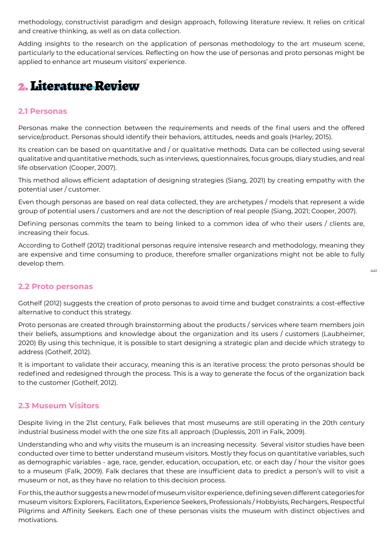methodology, constructivist paradigm and design approach, following literature review. It relies on critical and creative thinking, as well as on data collection.

Adding insights to the research on the application of personas methodology to the art museum scene, particularly to the educational services. Reflecting on how the use of personas and proto personas might be applied to enhance art museum visitors' experience.

## 2. Literature Review

### **2.1 Personas**

Personas make the connection between the requirements and needs of the final users and the offered service/product. Personas should identify their behaviors, attitudes, needs and goals (Harley, 2015).

Its creation can be based on quantitative and / or qualitative methods. Data can be collected using several qualitative and quantitative methods, such as interviews, questionnaires, focus groups, diary studies, and real life observation (Cooper, 2007).

This method allows efficient adaptation of designing strategies (Siang, 2021) by creating empathy with the potential user / customer.

Even though personas are based on real data collected, they are archetypes / models that represent a wide group of potential users / customers and are not the description of real people (Siang, 2021; Cooper, 2007).

Defining personas commits the team to being linked to a common idea of who their users / clients are, increasing their focus.

According to Gothelf (2012) traditional personas require intensive research and methodology, meaning they are expensive and time consuming to produce, therefore smaller organizations might not be able to fully develop them.

### **2.2 Proto personas**

Gothelf (2012) suggests the creation of proto personas to avoid time and budget constraints: a cost-effective alternative to conduct this strategy.

Proto personas are created through brainstorming about the products / services where team members join their beliefs, assumptions and knowledge about the organization and its users / customers (Laubheimer, 2020) By using this technique, it is possible to start designing a strategic plan and decide which strategy to address (Gothelf, 2012).

It is important to validate their accuracy, meaning this is an iterative process: the proto personas should be redefined and redesigned through the process. This is a way to generate the focus of the organization back to the customer (Gothelf, 2012).

### **2.3 Museum Visitors**

Despite living in the 21st century, Falk believes that most museums are still operating in the 20th century industrial business model with the one size fits all approach (Duplessis, 2011 in Falk, 2009).

Understanding who and why visits the museum is an increasing necessity. Several visitor studies have been conducted over time to better understand museum visitors. Mostly they focus on quantitative variables, such as demographic variables - age, race, gender, education, occupation, etc. or each day / hour the visitor goes to a museum (Falk, 2009). Falk declares that these are insufficient data to predict a person's will to visit a museum or not, as they have no relation to this decision process.

For this, the author suggests a new model of museum visitor experience, defining seven different categories for museum visitors: Explorers, Facilitators, Experience Seekers, Professionals / Hobbyists, Rechargers, Respectful Pilgrims and Affinity Seekers. Each one of these personas visits the museum with distinct objectives and motivations.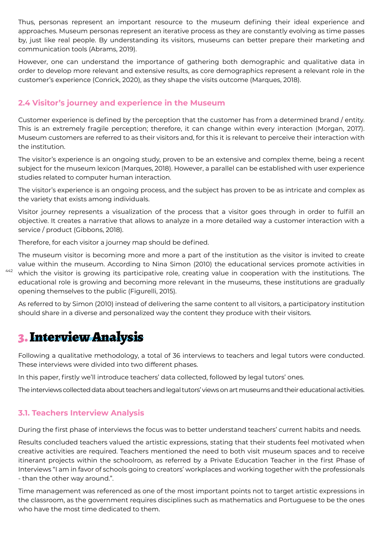Thus, personas represent an important resource to the museum defining their ideal experience and approaches. Museum personas represent an iterative process as they are constantly evolving as time passes by, just like real people. By understanding its visitors, museums can better prepare their marketing and communication tools (Abrams, 2019).

However, one can understand the importance of gathering both demographic and qualitative data in order to develop more relevant and extensive results, as core demographics represent a relevant role in the customer's experience (Conrick, 2020), as they shape the visits outcome (Marques, 2018).

### **2.4 Visitor's journey and experience in the Museum**

Customer experience is defined by the perception that the customer has from a determined brand / entity. This is an extremely fragile perception; therefore, it can change within every interaction (Morgan, 2017). Museum customers are referred to as their visitors and, for this it is relevant to perceive their interaction with the institution.

The visitor's experience is an ongoing study, proven to be an extensive and complex theme, being a recent subject for the museum lexicon (Marques, 2018). However, a parallel can be established with user experience studies related to computer human interaction.

The visitor's experience is an ongoing process, and the subject has proven to be as intricate and complex as the variety that exists among individuals.

Visitor journey represents a visualization of the process that a visitor goes through in order to fulfill an objective. It creates a narrative that allows to analyze in a more detailed way a customer interaction with a service / product (Gibbons, 2018).

Therefore, for each visitor a journey map should be defined.

442 The museum visitor is becoming more and more a part of the institution as the visitor is invited to create value within the museum. According to Nina Simon (2010) the educational services promote activities in which the visitor is growing its participative role, creating value in cooperation with the institutions. The educational role is growing and becoming more relevant in the museums, these institutions are gradually opening themselves to the public (Figurelli, 2015).

As referred to by Simon (2010) instead of delivering the same content to all visitors, a participatory institution should share in a diverse and personalized way the content they produce with their visitors.

## 3. Interview Analysis

Following a qualitative methodology, a total of 36 interviews to teachers and legal tutors were conducted. These interviews were divided into two different phases.

In this paper, firstly we'll introduce teachers' data collected, followed by legal tutors' ones.

The interviews collected data about teachers and legal tutors' views on art museums and their educational activities.

### **3.1. Teachers Interview Analysis**

During the first phase of interviews the focus was to better understand teachers' current habits and needs.

Results concluded teachers valued the artistic expressions, stating that their students feel motivated when creative activities are required. Teachers mentioned the need to both visit museum spaces and to receive itinerant projects within the schoolroom, as referred by a Private Education Teacher in the first Phase of Interviews "I am in favor of schools going to creators' workplaces and working together with the professionals - than the other way around.".

Time management was referenced as one of the most important points not to target artistic expressions in the classroom, as the government requires disciplines such as mathematics and Portuguese to be the ones who have the most time dedicated to them.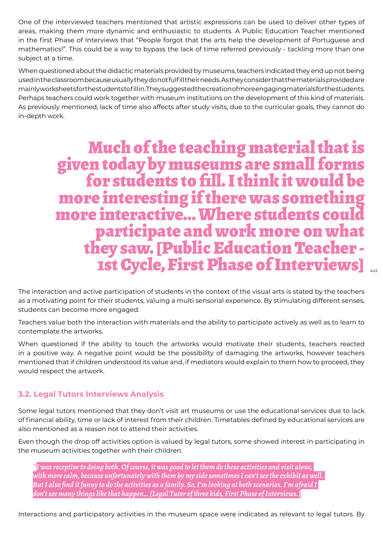One of the interviewed teachers mentioned that artistic expressions can be used to deliver other types of areas, making them more dynamic and enthusiastic to students. A Public Education Teacher mentioned in the first Phase of Interviews that "People forgot that the arts help the development of Portuguese and mathematics!". This could be a way to bypass the lack of time referred previously - tackling more than one subject at a time.

When questioned about the didactic materials provided by museums, teachers indicated they end up not being used in the classroom because usually they do not fulfill their needs. As they consider that the materials provided are mainly worksheets for the students to fill in. They suggested the creation of more engaging materials for the students. Perhaps teachers could work together with museum institutions on the development of this kind of materials. As previously mentioned, lack of time also affects after study visits, due to the curricular goals, they cannot do in-depth work.

# Much of the teaching material that is given today by museums are small forms for students to fill. I think it would be more interesting if there was something more interactive... Where students could participate and work more on what they saw. [Public Education Teacher - 1st Cycle, First Phase of Interviews]

The interaction and active participation of students in the context of the visual arts is stated by the teachers as a motivating point for their students, valuing a multi sensorial experience. By stimulating different senses, students can become more engaged.

Teachers value both the interaction with materials and the ability to participate actively as well as to learn to contemplate the artworks.

When questioned if the ability to touch the artworks would motivate their students, teachers reacted in a positive way. A negative point would be the possibility of damaging the artworks, however teachers mentioned that if children understood its value and, if mediators would explain to them how to proceed, they would respect the artwork.

### **3.2. Legal Tutors Interviews Analysis**

Some legal tutors mentioned that they don't visit art museums or use the educational services due to lack of financial ability, time or lack of interest from their children. Timetables defined by educational services are also mentioned as a reason not to attend their activities.

Even though the drop off activities option is valued by legal tutors, some showed interest in participating in the museum activities together with their children.

*\*I was receptive to doing both. Of course, it was good to let them do these activities and visit alone, with more calm, because unfortunately with them by my side sometimes I can't see the exhibit as well. But I also find it funny to do the activities as a family. So, I'm looking at both scenarios. I'm afraid I don't see many things like that happen… [Legal Tutor of three kids, First Phase of Interviews.]*

Interactions and participatory activities in the museum space were indicated as relevant to legal tutors. By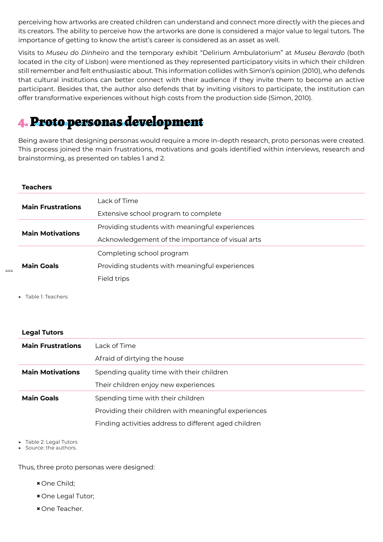perceiving how artworks are created children can understand and connect more directly with the pieces and its creators. The ability to perceive how the artworks are done is considered a major value to legal tutors. The importance of getting to know the artist's career is considered as an asset as well.

Visits to *Museu do Dinheiro* and the temporary exhibit "Delirium Ambulatorium" at *Museu Berardo* (both located in the city of Lisbon) were mentioned as they represented participatory visits in which their children still remember and felt enthusiastic about. This information collides with Simon's opinion (2010), who defends that cultural institutions can better connect with their audience if they invite them to become an active participant. Besides that, the author also defends that by inviting visitors to participate, the institution can offer transformative experiences without high costs from the production side (Simon, 2010).

## 4. Proto personas development

Being aware that designing personas would require a more in-depth research, proto personas were created. This process joined the main frustrations, motivations and goals identified within interviews, research and brainstorming, as presented on tables 1 and 2.

### **Teachers**

| <b>Main Frustrations</b> | Lack of Time                                     |
|--------------------------|--------------------------------------------------|
|                          | Extensive school program to complete             |
| <b>Main Motivations</b>  | Providing students with meaningful experiences   |
|                          | Acknowledgement of the importance of visual arts |
| <b>Main Goals</b>        | Completing school program                        |
|                          | Providing students with meaningful experiences   |
|                          | Field trips                                      |

▶ Table 1: Teachers

 $444$ 

#### **Legal Tutors**

| <b>Main Frustrations</b> | Lack of Time                                          |
|--------------------------|-------------------------------------------------------|
|                          | Afraid of dirtying the house                          |
| <b>Main Motivations</b>  | Spending quality time with their children             |
|                          | Their children enjoy new experiences                  |
| <b>Main Goals</b>        | Spending time with their children                     |
|                          | Providing their children with meaningful experiences  |
|                          | Finding activities address to different aged children |

Table 2: Legal Tutors

Source: the authors.

Thus, three proto personas were designed:

- **×** One Child;
- **×** One Legal Tutor;
- **×** One Teacher.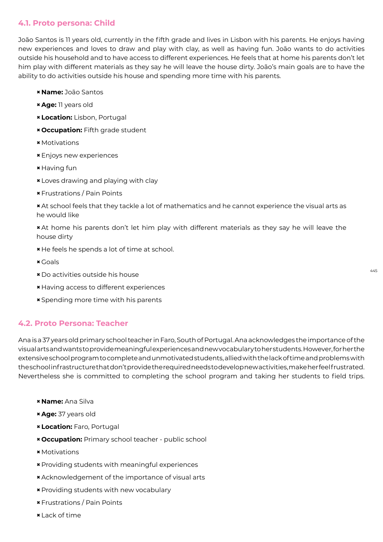### **4.1. Proto persona: Child**

João Santos is 11 years old, currently in the fifth grade and lives in Lisbon with his parents. He enjoys having new experiences and loves to draw and play with clay, as well as having fun. João wants to do activities outside his household and to have access to different experiences. He feels that at home his parents don't let him play with different materials as they say he will leave the house dirty. João's main goals are to have the ability to do activities outside his house and spending more time with his parents.

- **× Name:** João Santos
- **× Age:** 11 years old
- **× Location:** Lisbon, Portugal
- **× Occupation:** Fifth grade student
- **×**Motivations
- **×**Enjoys new experiences
- **×** Having fun
- **×** Loves drawing and playing with clay
- **×**Frustrations / Pain Points
- **×** At school feels that they tackle a lot of mathematics and he cannot experience the visual arts as he would like
- **×** At home his parents don't let him play with different materials as they say he will leave the house dirty
- **×** He feels he spends a lot of time at school.
- **×** Goals
- **×** Do activities outside his house
- **×** Having access to different experiences
- **×** Spending more time with his parents

### **4.2. Proto Persona: Teacher**

Ana is a 37 years old primary school teacher in Faro, South of Portugal. Ana acknowledges the importance of the visual arts and wants to provide meaningful experiences and new vocabulary to her students. However, for her the extensive school program to complete and unmotivated students, allied with the lack of time and problems with the school infrastructure that don't provide the required needs to develop new activities, make her feel frustrated. Nevertheless she is committed to completing the school program and taking her students to field trips.

- **× Name:** Ana Silva
- **× Age:** 37 years old
- **× Location:** Faro, Portugal
- **× Occupation:** Primary school teacher public school
- **×**Motivations
- **×** Providing students with meaningful experiences
- **×** Acknowledgement of the importance of visual arts
- **×** Providing students with new vocabulary
- **×**Frustrations / Pain Points
- **×** Lack of time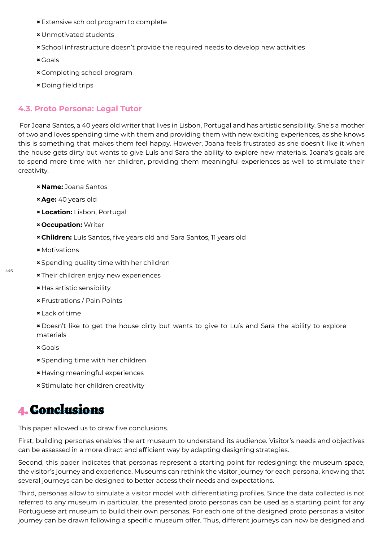- **×**Extensive sch ool program to complete
- **×**Unmotivated students
- **×** School infrastructure doesn't provide the required needs to develop new activities
- **×** Goals
- **×** Completing school program
- **×** Doing field trips

### **4.3. Proto Persona: Legal Tutor**

 For Joana Santos, a 40 years old writer that lives in Lisbon, Portugal and has artistic sensibility. She's a mother of two and loves spending time with them and providing them with new exciting experiences, as she knows this is something that makes them feel happy. However, Joana feels frustrated as she doesn't like it when the house gets dirty but wants to give Luís and Sara the ability to explore new materials. Joana's goals are to spend more time with her children, providing them meaningful experiences as well to stimulate their creativity.

- **× Name:** Joana Santos
- **× Age:** 40 years old
- **× Location:** Lisbon, Portugal
- **× Occupation:** Writer
- **× Children:** Luís Santos, five years old and Sara Santos, 11 years old
- **×**Motivations
- **×** Spending quality time with her children
- **×** Their children enjoy new experiences
- **×** Has artistic sensibility
- **×**Frustrations / Pain Points
- **×** Lack of time

**×** Doesn't like to get the house dirty but wants to give to Luís and Sara the ability to explore materials

- **×** Goals
- **×** Spending time with her children
- **×** Having meaningful experiences
- **×** Stimulate her children creativity

### 4. Conclusions

This paper allowed us to draw five conclusions.

First, building personas enables the art museum to understand its audience. Visitor's needs and objectives can be assessed in a more direct and efficient way by adapting designing strategies.

Second, this paper indicates that personas represent a starting point for redesigning: the museum space, the visitor's journey and experience. Museums can rethink the visitor journey for each persona, knowing that several journeys can be designed to better access their needs and expectations.

Third, personas allow to simulate a visitor model with differentiating profiles. Since the data collected is not referred to any museum in particular, the presented proto personas can be used as a starting point for any Portuguese art museum to build their own personas. For each one of the designed proto personas a visitor journey can be drawn following a specific museum offer. Thus, different journeys can now be designed and